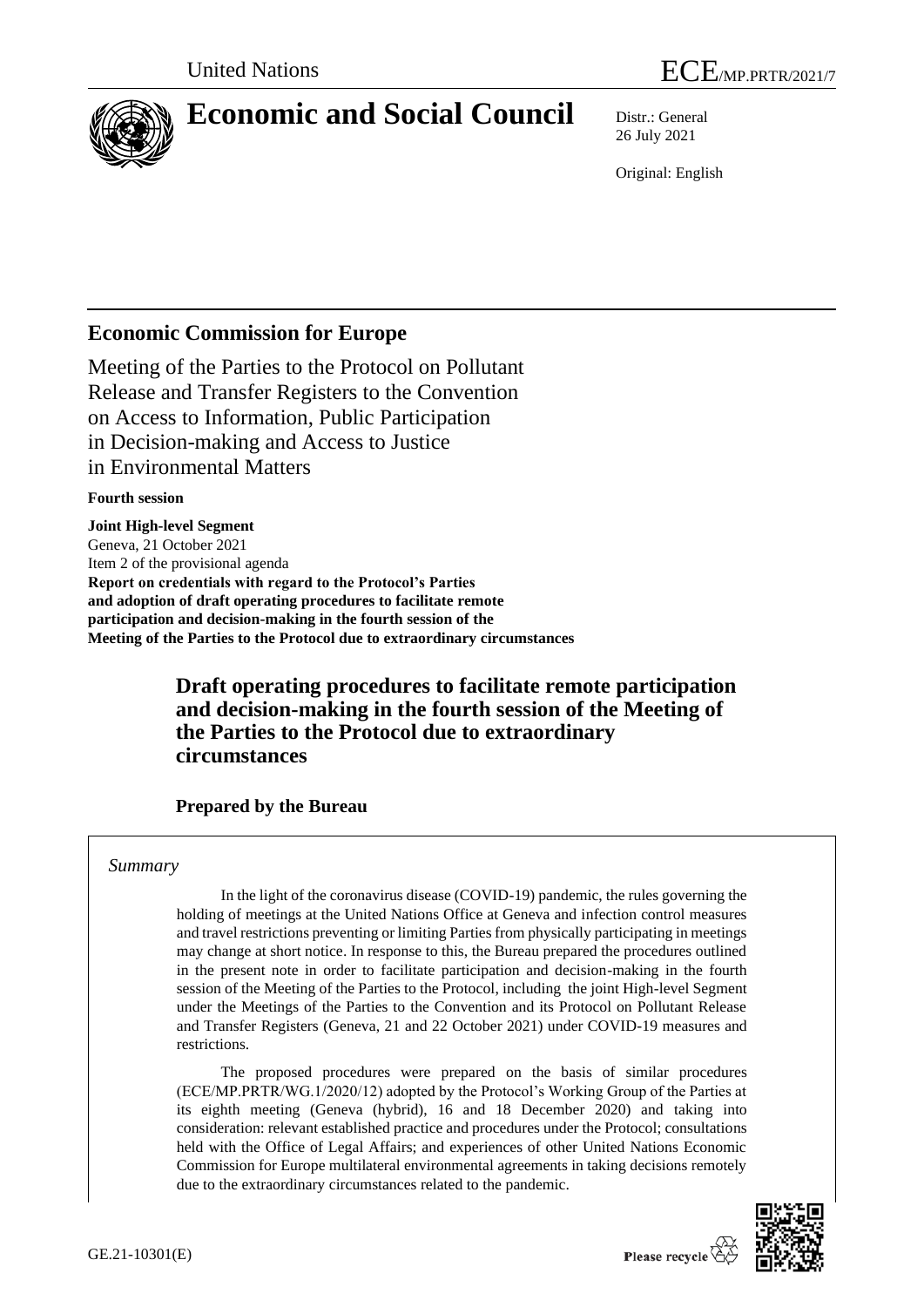

# **Economic and Social Council** Distr.: General

26 July 2021

Original: English

# **Economic Commission for Europe**

Meeting of the Parties to the Protocol on Pollutant Release and Transfer Registers to the Convention on Access to Information, Public Participation in Decision-making and Access to Justice in Environmental Matters

#### **Fourth session**

**Joint High-level Segment** Geneva, 21 October 2021 Item 2 of the provisional agenda **Report on credentials with regard to the Protocol's Parties and adoption of draft operating procedures to facilitate remote participation and decision-making in the fourth session of the Meeting of the Parties to the Protocol due to extraordinary circumstances**

## **Draft operating procedures to facilitate remote participation and decision-making in the fourth session of the Meeting of the Parties to the Protocol due to extraordinary circumstances**

## **Prepared by the Bureau**

#### *Summary*

In the light of the coronavirus disease (COVID-19) pandemic, the rules governing the holding of meetings at the United Nations Office at Geneva and infection control measures and travel restrictions preventing or limiting Parties from physically participating in meetings may change at short notice. In response to this, the Bureau prepared the procedures outlined in the present note in order to facilitate participation and decision-making in the fourth session of the Meeting of the Parties to the Protocol, including the joint High-level Segment under the Meetings of the Parties to the Convention and its Protocol on Pollutant Release and Transfer Registers (Geneva, 21 and 22 October 2021) under COVID-19 measures and restrictions.

The proposed procedures were prepared on the basis of similar procedures (ECE/MP.PRTR/WG.1/2020/12) adopted by the Protocol's Working Group of the Parties at its eighth meeting (Geneva (hybrid), 16 and 18 December 2020) and taking into consideration: relevant established practice and procedures under the Protocol; consultations held with the Office of Legal Affairs; and experiences of other United Nations Economic Commission for Europe multilateral environmental agreements in taking decisions remotely due to the extraordinary circumstances related to the pandemic.

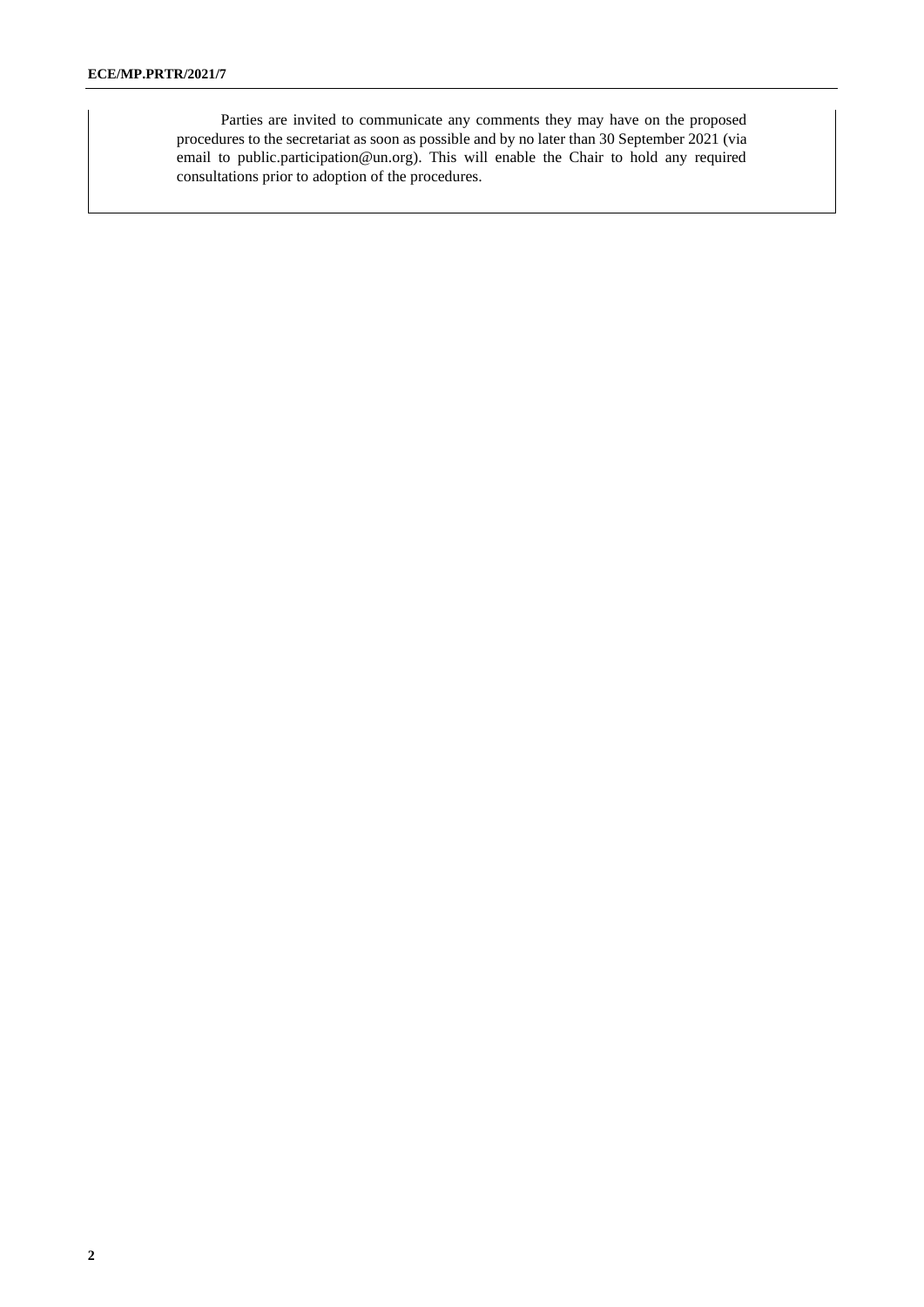Parties are invited to communicate any comments they may have on the proposed procedures to the secretariat as soon as possible and by no later than 30 September 2021 (via email to public.participation@un.org). This will enable the Chair to hold any required consultations prior to adoption of the procedures.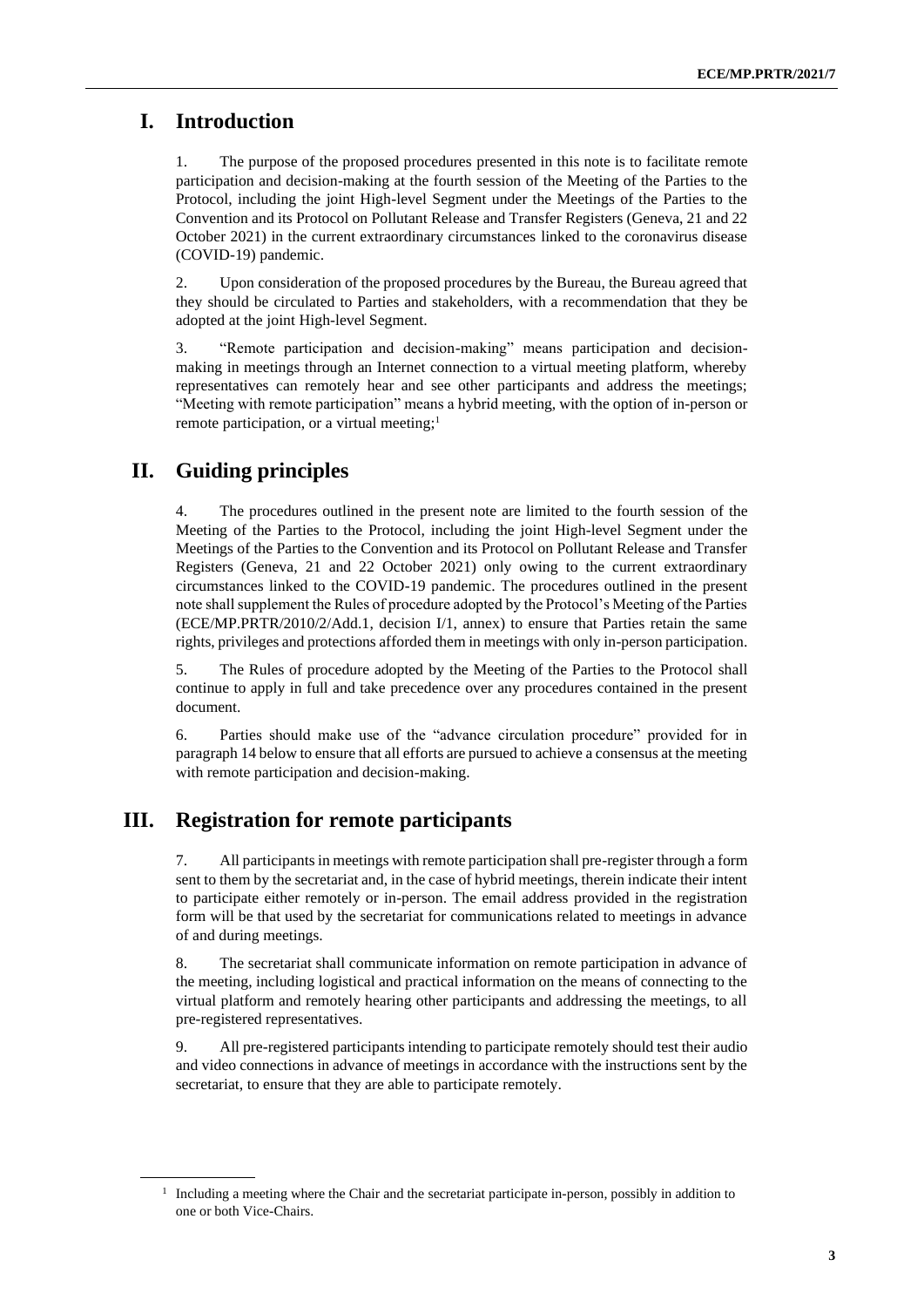#### **I. Introduction**

1. The purpose of the proposed procedures presented in this note is to facilitate remote participation and decision-making at the fourth session of the Meeting of the Parties to the Protocol, including the joint High-level Segment under the Meetings of the Parties to the Convention and its Protocol on Pollutant Release and Transfer Registers (Geneva, 21 and 22 October 2021) in the current extraordinary circumstances linked to the coronavirus disease (COVID-19) pandemic.

2. Upon consideration of the proposed procedures by the Bureau, the Bureau agreed that they should be circulated to Parties and stakeholders, with a recommendation that they be adopted at the joint High-level Segment.

3. "Remote participation and decision-making" means participation and decisionmaking in meetings through an Internet connection to a virtual meeting platform, whereby representatives can remotely hear and see other participants and address the meetings; "Meeting with remote participation" means a hybrid meeting, with the option of in-person or remote participation, or a virtual meeting;<sup>1</sup>

#### **II. Guiding principles**

The procedures outlined in the present note are limited to the fourth session of the Meeting of the Parties to the Protocol, including the joint High-level Segment under the Meetings of the Parties to the Convention and its Protocol on Pollutant Release and Transfer Registers (Geneva, 21 and 22 October 2021) only owing to the current extraordinary circumstances linked to the COVID-19 pandemic. The procedures outlined in the present note shall supplement the Rules of procedure adopted by the Protocol's Meeting of the Parties (ECE/MP.PRTR/2010/2/Add.1, decision I/1, annex) to ensure that Parties retain the same rights, privileges and protections afforded them in meetings with only in-person participation.

5. The Rules of procedure adopted by the Meeting of the Parties to the Protocol shall continue to apply in full and take precedence over any procedures contained in the present document.

6. Parties should make use of the "advance circulation procedure" provided for in paragraph 14 below to ensure that all efforts are pursued to achieve a consensus at the meeting with remote participation and decision-making.

#### **III. Registration for remote participants**

7. All participants in meetings with remote participation shall pre-register through a form sent to them by the secretariat and, in the case of hybrid meetings, therein indicate their intent to participate either remotely or in-person. The email address provided in the registration form will be that used by the secretariat for communications related to meetings in advance of and during meetings.

8. The secretariat shall communicate information on remote participation in advance of the meeting, including logistical and practical information on the means of connecting to the virtual platform and remotely hearing other participants and addressing the meetings, to all pre-registered representatives.

9. All pre-registered participants intending to participate remotely should test their audio and video connections in advance of meetings in accordance with the instructions sent by the secretariat, to ensure that they are able to participate remotely.

<sup>&</sup>lt;sup>1</sup> Including a meeting where the Chair and the secretariat participate in-person, possibly in addition to one or both Vice-Chairs.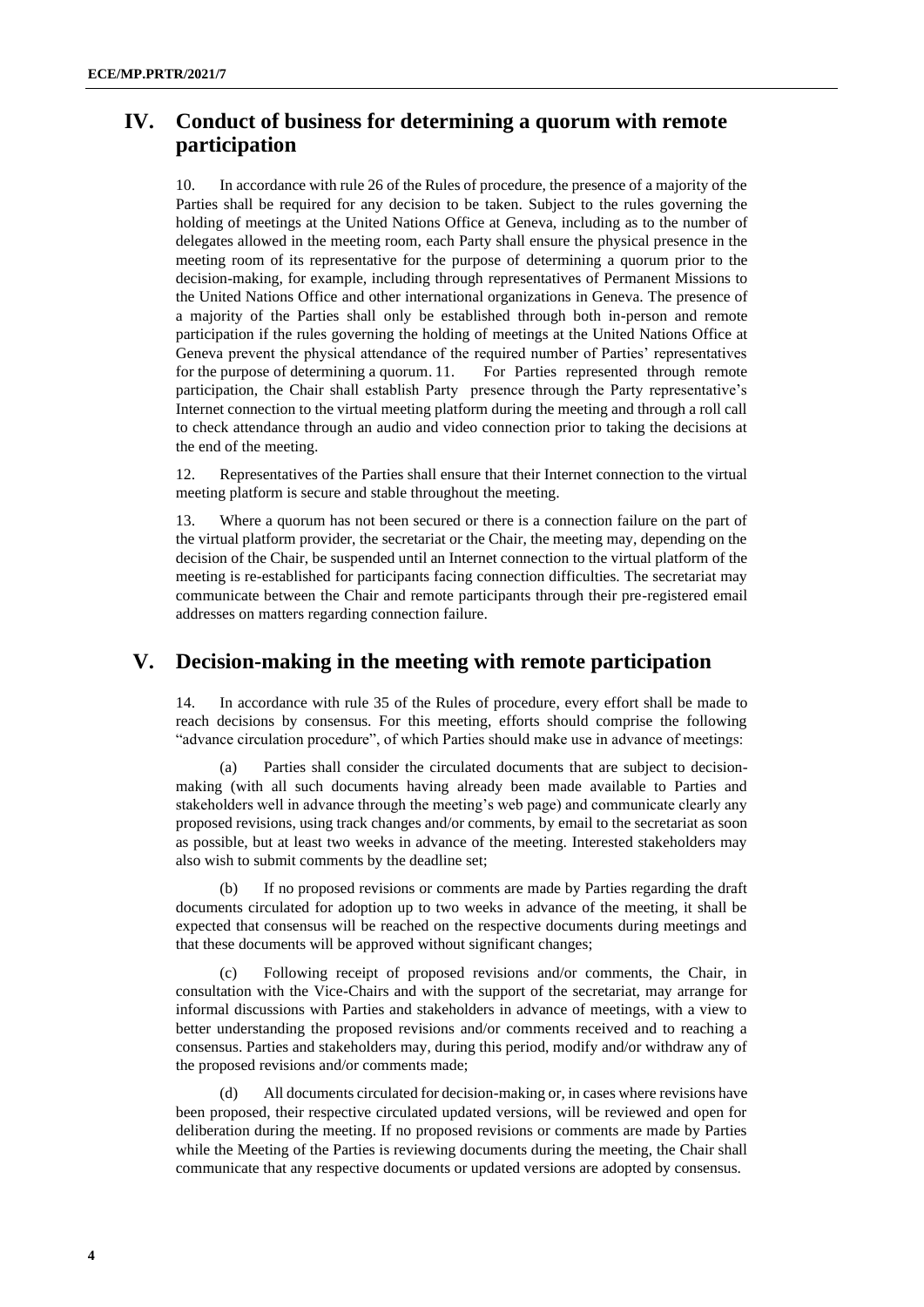## **IV. Conduct of business for determining a quorum with remote participation**

10. In accordance with rule 26 of the Rules of procedure, the presence of a majority of the Parties shall be required for any decision to be taken. Subject to the rules governing the holding of meetings at the United Nations Office at Geneva, including as to the number of delegates allowed in the meeting room, each Party shall ensure the physical presence in the meeting room of its representative for the purpose of determining a quorum prior to the decision-making, for example, including through representatives of Permanent Missions to the United Nations Office and other international organizations in Geneva. The presence of a majority of the Parties shall only be established through both in-person and remote participation if the rules governing the holding of meetings at the United Nations Office at Geneva prevent the physical attendance of the required number of Parties' representatives for the purpose of determining a quorum. 11. For Parties represented through remote participation, the Chair shall establish Party presence through the Party representative's Internet connection to the virtual meeting platform during the meeting and through a roll call to check attendance through an audio and video connection prior to taking the decisions at the end of the meeting.

12. Representatives of the Parties shall ensure that their Internet connection to the virtual meeting platform is secure and stable throughout the meeting.

13. Where a quorum has not been secured or there is a connection failure on the part of the virtual platform provider, the secretariat or the Chair, the meeting may, depending on the decision of the Chair, be suspended until an Internet connection to the virtual platform of the meeting is re-established for participants facing connection difficulties. The secretariat may communicate between the Chair and remote participants through their pre-registered email addresses on matters regarding connection failure.

#### **V. Decision-making in the meeting with remote participation**

14. In accordance with rule 35 of the Rules of procedure, every effort shall be made to reach decisions by consensus. For this meeting, efforts should comprise the following "advance circulation procedure", of which Parties should make use in advance of meetings:

(a) Parties shall consider the circulated documents that are subject to decisionmaking (with all such documents having already been made available to Parties and stakeholders well in advance through the meeting's web page) and communicate clearly any proposed revisions, using track changes and/or comments, by email to the secretariat as soon as possible, but at least two weeks in advance of the meeting. Interested stakeholders may also wish to submit comments by the deadline set;

(b) If no proposed revisions or comments are made by Parties regarding the draft documents circulated for adoption up to two weeks in advance of the meeting, it shall be expected that consensus will be reached on the respective documents during meetings and that these documents will be approved without significant changes;

(c) Following receipt of proposed revisions and/or comments, the Chair, in consultation with the Vice-Chairs and with the support of the secretariat, may arrange for informal discussions with Parties and stakeholders in advance of meetings, with a view to better understanding the proposed revisions and/or comments received and to reaching a consensus. Parties and stakeholders may, during this period, modify and/or withdraw any of the proposed revisions and/or comments made;

All documents circulated for decision-making or, in cases where revisions have been proposed, their respective circulated updated versions, will be reviewed and open for deliberation during the meeting. If no proposed revisions or comments are made by Parties while the Meeting of the Parties is reviewing documents during the meeting, the Chair shall communicate that any respective documents or updated versions are adopted by consensus.